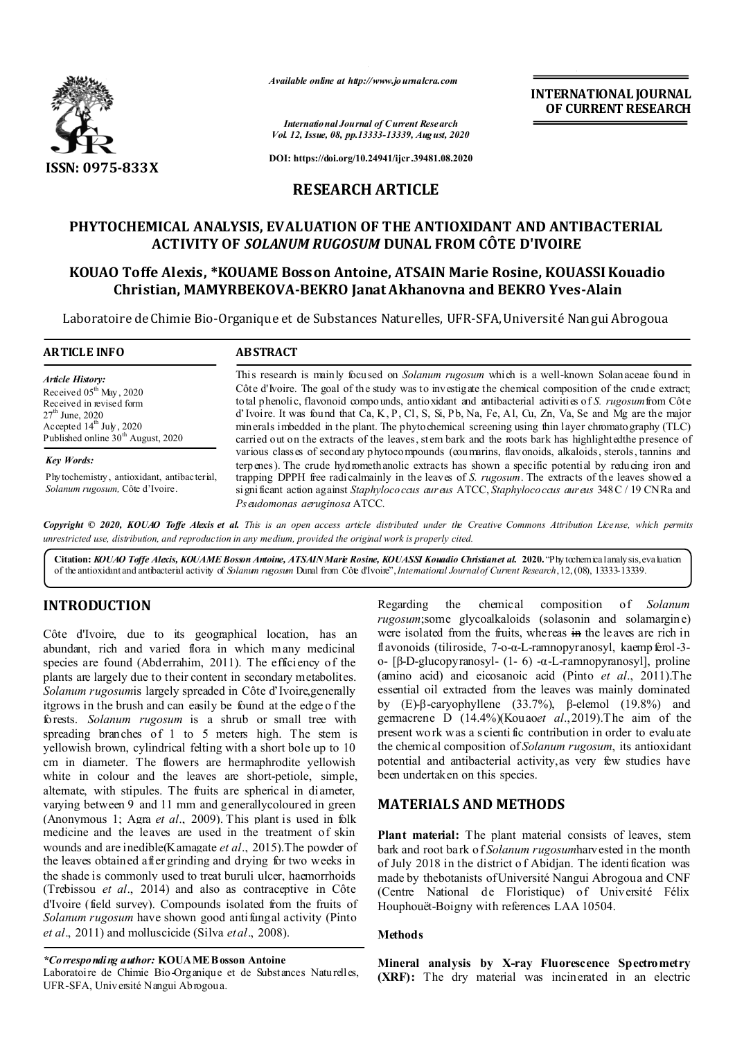

*Available online at http://www.journalcra.com*

**INTERNATIONAL JOURNAL OF CURRENT RESEARCH**

*International Journal of Current Research Vol. 12, Issue, 08, pp.13333-13339, August, 2020*

**DOI: https://doi.org/10.24941/ijcr.39481.08.2020**

# **RESEARCH ARTICLE**

# **PHYTOCHEMICAL ANALYSIS, EVALUATION OF THE ANTIOXIDANT AND ANTIBACTERIAL ACTIVITY OF** *SOLANUM RUGOSUM* **DUNAL FROM CÔTE D'IVOIRE**

# **KOUAO Toffe Alexis, \*KOUAME Bosson Antoine, ATSAIN Marie Rosine, KOUASSI Kouadio Christian, MAMYRBEKOVA-BEKRO Janat Akhanovna and BEKRO Yves-Alain**

Laboratoire de Chimie Bio-Organique et de Substances Naturelles, UFR-SFA, Université Nangui Abrogoua

| <b>ARTICLE INFO</b>                                                                                                                                                                   | <b>ABSTRACT</b>                                                                                                                                                                                                                                                                                                                                                                                                                                                                                                                                                                                                                                 |
|---------------------------------------------------------------------------------------------------------------------------------------------------------------------------------------|-------------------------------------------------------------------------------------------------------------------------------------------------------------------------------------------------------------------------------------------------------------------------------------------------------------------------------------------------------------------------------------------------------------------------------------------------------------------------------------------------------------------------------------------------------------------------------------------------------------------------------------------------|
| <b>Article History:</b><br>Received $05th$ May, 2020<br>Received in revised form<br>$27th$ June, 2020<br>Accepted $14th$ July, 2020<br>Published online 30 <sup>th</sup> August, 2020 | This research is mainly focused on <i>Solanum rugosum</i> which is a well-known Solanaceae found in<br>Côte d'Ivoire. The goal of the study was to investigate the chemical composition of the crude extract;<br>total phenolic, flavonoid compounds, antioxidant and antibacterial activities of S. rugosum from Côte<br>d'Ivoire. It was found that Ca, K, P, Cl, S, Si, Pb, Na, Fe, Al, Cu, Zn, Va, Se and Mg are the major<br>minerals imbedded in the plant. The phytochemical screening using thin layer chromato graphy (TLC)<br>carried out on the extracts of the leaves, stem bark and the roots bark has highlighted the presence of |
| <b>Key Words:</b><br>Phytochemistry, antioxidant, antibacterial,<br>Solanum rugosum, Côte d'Ivoire.                                                                                   | various classes of secondary phytocompounds (coumarins, flavonoids, alkaloids, sterols, tannins and<br>terpenes). The crude hydromethanolic extracts has shown a specific potential by reducing iron and<br>trapping DPPH free radicalmainly in the leaves of S. rugosum. The extracts of the leaves showed a<br>significant action against Staphyloco caus aureus ATCC, Staphyloco caus aureus 348 C / 19 CNRa and<br>Ps eudomonas aeruginosa ATCC.                                                                                                                                                                                            |

Copyright © 2020, KOUAO Toffe Alexis et al. This is an open access article distributed under the Creative Commons Attribution License, which permits *unrestricted use, distribution, and reproduction in any medium, provided the original work is properly cited.*

**Citation:** *KOUAO Toffe Alexis, KOUAME Bosson Antoine, ATSAIN Marie Rosine, KOUASSI Kouadio Christian et al.* **2020.** "Phytochemical analysis, evaluation of the antioxidant and antibacterial activity of *Solanum rugosum* Dunal from Côte d'Ivoire",*International Journalof Current Research*, 12,(08), 13333-13339.

# **INTRODUCTION**

Côte d'Ivoire, due to its geographical location, has an abundant, rich and varied flora in which many medicinal species are found (Abderrahim, 2011). The efficiency of the plants are largely due to their content in secondary metabolites. *Solanum rugosum*is largely spreaded in Côte d'Ivoire,generally itgrows in the brush and can easily be found at the edge o f the forests. *Solanum rugosum* is a shrub or small tree with spreading branches of 1 to 5 meters high. The stem is yellowish brown, cylindrical felting with a short bole up to 10 cm in diameter. The flowers are hermaphrodite yellowish white in colour and the leaves are short-petiole, simple, alternate, with stipules. The fruits are spherical in diameter, varying between 9 and 11 mm and generallycoloured in green (Anonymous 1; Agra *et al*., 2009). This plant is used in folk medicine and the leaves are used in the treatment of skin wounds and are inedible(Kamagate *et al*., 2015).The powder of the leaves obtained after grinding and drying for two weeks in the shade is commonly used to treat buruli ulcer, haemorrhoids (Trebissou *et al*., 2014) and also as contraceptive in Côte d'Ivoire (field survey). Compounds isolated from the fruits of *Solanum rugosum* have shown good antifungal activity (Pinto *et al*., 2011) and molluscicide (Silva *et al*., 2008).

*\*Corresponding author:* **KOUAME Bosson Antoine**

Laboratoire de Chimie Bio-Organique et de Substances Naturelles, UFR-SFA, Université Nangui Abrogoua.

Regarding the chemical composition of *Solanum rugosum*;some glycoalkaloids (solasonin and solamargine) were isolated from the fruits, whereas in the leaves are rich in flavonoids (tiliroside, 7-o-α-L-ramnopyranosyl, kaempferol-3o- [β-D-glucopyranosyl- (1- 6) -α-L-ramnopyranosyl], proline (amino acid) and eicosanoic acid (Pinto *et al*., 2011).The essential oil extracted from the leaves was mainly dominated by (E)-β-caryophyllene (33.7%), β-elemol (19.8%) and germacrene D (14.4%)(Kouao*et al*.,2019).The aim of the present work was a s cienti fic contribution in order to evaluate the chemical composition of *Solanum rugosum*, its antioxidant potential and antibacterial activity,as very few studies have been undertaken on this species.

## **MATERIALS AND METHODS**

**Plant material:** The plant material consists of leaves, stem bark and root bark of *Solanum rugosum*harvested in the month of July 2018 in the district o f Abidjan. The identi fication was made by thebotanists of Université Nangui Abrogoua and CNF (Centre National de Floristique) of Université Félix Houphouët-Boigny with references LAA 10504.

#### **Methods**

**Mineral analysis by X-ray Fluorescence Spectrometry (XRF):** The dry material was incinerated in an electric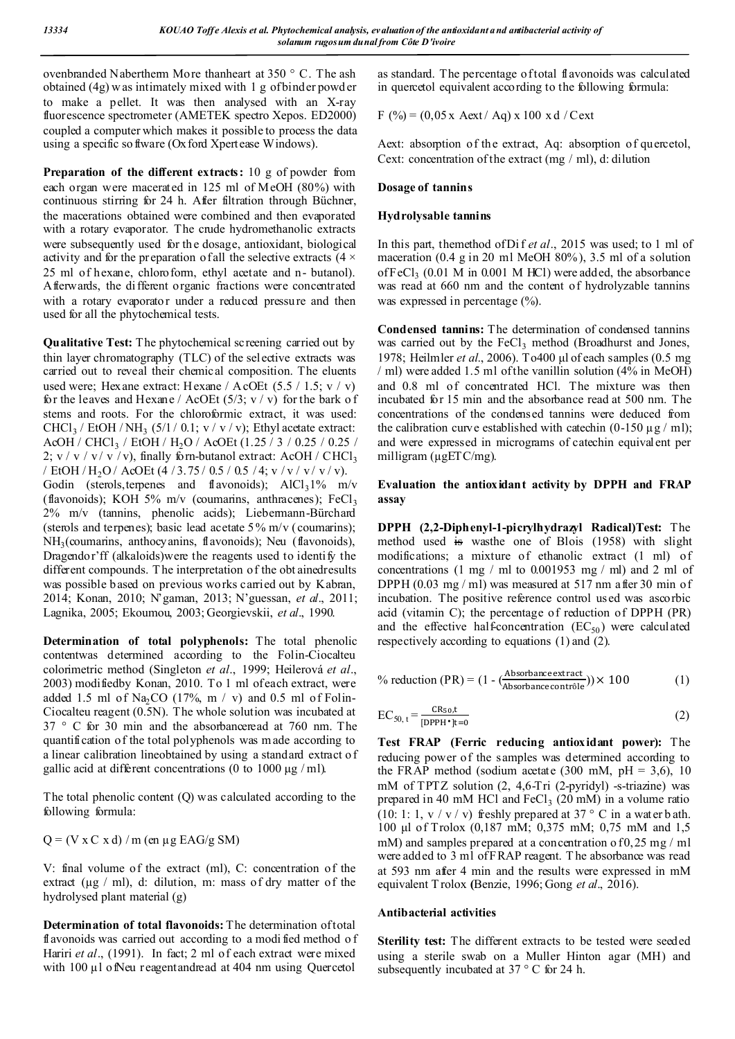ovenbranded Nabertherm More thanheart at 350 ° C. The ash obtained (4g) w as intimately mixed with 1 g of binder powd er to make a pellet. It was then analysed with an X-ray fluorescence spectrometer (AMETEK spectro Xepos. ED2000) coupled a computer which makes it possible to process the data using a specific so ftware (Oxford Xpertease Windows).

**Preparation of the different extracts:** 10 g of powder from each organ were macerated in 125 ml of MeOH (80%) with continuous stirring for 24 h. After filtration through Büchner, the macerations obtained were combined and then evaporated with a rotary evaporator. The crude hydromethanolic extracts were subsequently used for th e dosage, antioxidant, biological activity and for the preparation of all the selective extracts  $(4 \times$ 25 ml of hexane, chloroform, ethyl acetate and n- butanol). Afterwards, the different organic fractions were concentrated with a rotary evaporator under a reduced pressure and then used for all the phytochemical tests.

**Qualitative Test:** The phytochemical screening carried out by thin layer chromatography (TLC) of the selective extracts was carried out to reveal their chemical composition. The eluents used were; Hexane extract: Hexane /  $A$  cOEt (5.5 / 1.5; v / v) for the leaves and Hexane / AcOEt  $(5/3; v / v)$  for the bark of stems and roots. For the chloroformic extract, it was used: CHCl<sub>3</sub> / EtOH / NH<sub>3</sub> (5/1 / 0.1; v / v / v); Ethyl acetate extract: AcOH / CHCl<sub>3</sub> / EtOH / H<sub>2</sub>O / AcOEt (1.25 / 3 / 0.25 / 0.25 / 2;  $v / v / v / v$ , finally forn-butanol extract: AcOH / CHCl<sub>3</sub> / EtOH / H<sub>2</sub>O / AcOEt (4 / 3.75 / 0.5 / 0.5 / 4; v / v / v / v / v / v). Godin (sterols, terpenes and flavonoids);  $AlCl<sub>3</sub>1%$  m/v (flavonoids); KOH 5% m/v (coumarins, anthracenes); FeCl<sub>3</sub> 2% m/v (tannins, phenolic acids); Liebermann-Bürchard (sterols and terpenes); basic lead acetate 5 % m/v (coumarins); NH<sub>3</sub>(coumarins, anthocyanins, flavonoids); Neu (flavonoids), Dragendor'ff (alkaloids)were the reagents used to identify the different compounds. The interpretation of the obt ainedresults was possible based on previous works carried out by Kabran, 2014; Konan, 2010; N'gaman, 2013; N'guessan, *et al*., 2011; Lagnika, 2005; Ekoumou, 2003; Georgievskii, *et al*., 1990.

**Determination of total polyphenols:** The total phenolic contentwas determined according to the Folin-Ciocalteu colorimetric method (Singleton *et al*., 1999; Heilerová *et al*., 2003) modifiedby Konan, 2010. To 1 ml of each extract, were added 1.5 ml of Na<sub>2</sub>CO (17%, m / v) and 0.5 ml of Folin-Ciocalteu reagent (0.5N). The whole solution was incubated at 37 ° C for 30 min and the absorbanceread at 760 nm. The quantification of the total polyphenols was made according to a linear calibration lineobtained by using a standard extract o f gallic acid at different concentrations (0 to 1000 μg / ml).

The total phenolic content (Q) was calculated according to the following formula:

 $Q = (V \times C \times d) / m$  (en µg EAG/g SM)

V: final volume of the extract (ml), C: concentration of the extract ( $\mu$ g / ml), d: dilution, m: mass of dry matter of the hydrolysed plant material (g)

**Determination of total flavonoids:** The determination of total flavonoids was carried out according to a modi fied method of Hariri *et al.*, (1991). In fact; 2 ml of each extract were mixed with 100 µl ofNeu reagentandread at 404 nm using Quercetol

as standard. The percentage of total flavonoids was calculated in quercetol equivalent according to the following formula:

F (%) =  $(0.05 x \text{ Aext} / \text{ Aq}) x 100 x d / \text{Cext}$ 

Aext: absorption of the extract, Aq: absorption of quercetol, Cext: concentration of the extract (mg / ml), d: dilution

### **Dosage of tannins**

### **Hydrolysable tannins**

In this part, themethod of Di f *et al*., 2015 was used; to 1 ml of maceration (0.4 g in 20 ml MeOH 80%), 3.5 ml of a solution of  $FeCl<sub>3</sub>$  (0.01 M in 0.001 M HCl) were added, the absorbance was read at 660 nm and the content of hydrolyzable tannins was expressed in percentage  $(\%).$ 

**Condensed tannins:** The determination of condensed tannins was carried out by the  $FeCl<sub>3</sub>$  method (Broadhurst and Jones, 1978; Heilmler *et al*., 2006). To400 μl of each samples (0.5 mg / ml) were added 1.5 ml of the vanillin solution (4% in MeOH) and 0.8 ml of concentrated HCl. The mixture was then incubated for 15 min and the absorbance read at 500 nm. The concentrations of the condensed tannins were deduced from the calibration curve established with catechin  $(0-150 \mu g / m)$ ; and were expressed in micrograms of catechin equivalent per milligram ( $\mu$ gETC/mg).

**Evaluation the antioxidant activity by DPPH and FRAP assay**

**DPPH (2,2-Diphenyl-1-picrylhydrazyl Radical)Test:** The method used is wasthe one of Blois (1958) with slight modifications; a mixture of ethanolic extract (1 ml) of concentrations  $(1 \text{ mg } / \text{ ml}$  to  $0.001953 \text{ mg } / \text{ ml})$  and  $2 \text{ ml}$  of DPPH (0.03 mg / ml) was measured at 517 nm after 30 min of incubation. The positive reference control used was ascorbic acid (vitamin C); the percentage of reduction of DPPH (PR) and the effective half-concentration  $(EC_{50})$  were calculated respectively according to equations (1) and (2).

% reduction (PR) = 
$$
(1 - \frac{\text{Absorbance extract}}{\text{Absorbance contr\^e}}) \times 100
$$
 (1)

$$
EC_{50, t} = \frac{CR_{50}, t}{[DPPH^{\bullet}]t=0}
$$
 (2)

**Test FRAP (Ferric reducing antioxidant power):** The reducing power of the samples was determined according to the FRAP method (sodium acetate  $(300 \text{ mM}, \text{pH} = 3,6)$ , 10 mM of TPTZ solution (2, 4,6-Tri (2-pyridyl) -s-triazine) was prepared in 40 mM HCl and  $FeCl<sub>3</sub>$  (20 mM) in a volume ratio (10: 1: 1,  $v / v / v$ ) freshly prepared at 37 ° C in a water b ath. 100 μl of Trolox (0,187 mM; 0,375 mM; 0,75 mM and 1,5 mM) and samples prepared at a concentration of  $0,25$  mg / ml were added to 3 ml of FRAP reagent. T he absorbance was read at 593 nm after 4 min and the results were expressed in mM equivalent T rolox **(**Benzie, 1996; Gong *et al*., 2016).

#### **Antibacterial activities**

**Sterility test:** The different extracts to be tested were seeded using a sterile swab on a Muller Hinton agar (MH) and subsequently incubated at 37 ° C for 24 h.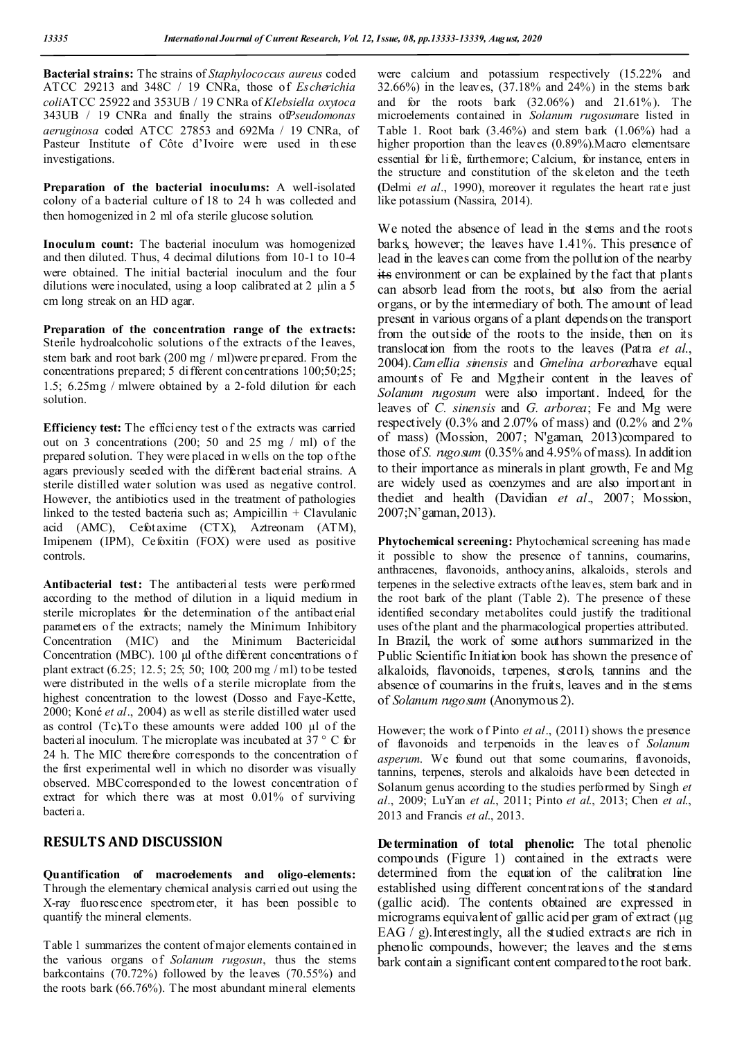**Bacterial strains:** The strains of *Staphylococcus aureus* coded ATCC 29213 and 348C / 19 CNRa, those of *Escherichia coli*ATCC 25922 and 353UB / 19 CNRa of *Klebsiella oxytoca* 343UB / 19 CNRa and finally the strains of*Pseudomonas aeruginosa* coded ATCC 27853 and 692Ma / 19 CNRa, of Pasteur Institute of Côte d'Ivoire were used in these investigations.

**Preparation of the bacterial inoculums:** A well-isolated colony of a bacterial culture of 18 to 24 h was collected and then homogenized in 2 ml of a sterile glucose solution.

**Inoculum count:** The bacterial inoculum was homogenized and then diluted. Thus, 4 decimal dilutions from 10-1 to 10-4 were obtained. The initial bacterial inoculum and the four dilutions were inoculated, using a loop calibrated at 2 μlin a 5 cm long streak on an HD agar.

**Preparation of the concentration range of the extracts:**  Sterile hydroalcoholic solutions of the extracts of the leaves, stem bark and root bark (200 mg / ml)were prepared. From the concentrations prepared; 5 different concentrations 100;50;25; 1.5; 6.25mg / mlwere obtained by a 2-fold dilution for each solution.

**Efficiency test:** The efficiency test o f the extracts was carried out on 3 concentrations (200; 50 and 25 mg / ml) of the prepared solution. They were placed in w ells on the top of the agars previously seeded with the different bacterial strains. A sterile distilled water solution was used as negative control. However, the antibiotics used in the treatment of pathologies linked to the tested bacteria such as; Ampicillin  $+$  Clavulanic acid (AMC), Cefotaxime (CTX), Aztreonam (ATM), Imipenem (IPM), Cefoxitin (FOX) were used as positive controls.

**Antibacterial test:** The antibacterial tests were performed according to the method of dilution in a liquid medium in sterile microplates for the determination of the antibacterial parameters of the extracts; namely the Minimum Inhibitory Concentration (MIC) and the Minimum Bactericidal Concentration (MBC). 100 µl of the different concentrations of plant extract (6.25; 12.5; 25; 50; 100; 200 mg / ml) to be tested were distributed in the wells of a sterile microplate from the highest concentration to the lowest (Dosso and Faye-Kette, 2000; Koné *et al*., 2004) as well as sterile distilled water used as control (Tc)**.**To these amounts were added 100 µl of the bacterial inoculum. The microplate was incubated at 37 ° C for 24 h. The MIC therefore corresponds to the concentration of the first experimental well in which no disorder was visually observed. MBCcorresponded to the lowest concentration of extract for which there was at most 0.01% of surviving bacteria.

# **RESULTS AND DISCUSSION**

**Quantification of macroelements and oligo-elements:** Through the elementary chemical analysis carried out using the X-ray fluorescence spectrometer, it has been possible to quantify the mineral elements.

Table 1 summarizes the content of major elements contained in the various organs of *Solanum rugosun*, thus the stems barkcontains (70.72%) followed by the leaves (70.55%) and the roots bark (66.76%). The most abundant mineral elements

were calcium and potassium respectively (15.22% and 32.66%) in the leaves, (37.18% and 24%) in the stems bark and for the roots bark (32.06%) and 21.61%). The microelements contained in *Solanum rugosum*are listed in Table 1. Root bark (3.46%) and stem bark (1.06%) had a higher proportion than the leaves (0.89%).Macro elementsare essential for life, furthermore; Calcium, for instance, enters in the structure and constitution of the skeleton and the teeth **(**Delmi *et al*., 1990), moreover it regulates the heart rate just like potassium (Nassira, 2014).

We noted the absence of lead in the stems and the roots barks, however; the leaves have 1.41%. This presence of lead in the leaves can come from the pollution of the nearby its environment or can be explained by the fact that plants can absorb lead from the roots, but also from the aerial organs, or by the intermediary of both. The amount of lead present in various organs of a plant depends on the transport from the outside of the roots to the inside, then on its translocation from the roots to the leaves (Patra *et al*., 2004).*Camellia sinensis* and *Gmelina arborea*have equal amounts of Fe and Mg;their content in the leaves of *Solanum rugosum* were also important. Indeed, for the leaves of *C. sinensis* and *G. arborea*; Fe and Mg were respectively (0.3% and 2.07% of mass) and (0.2% and 2% of mass) (Mossion, 2007; N'gaman, 2013)compared to those of *S. rugosum* (0.35% and 4.95% of mass). In addition to their importance as minerals in plant growth, Fe and Mg are widely used as coenzymes and are also important in thediet and health (Davidian *et al*., 2007; Mossion, 2007;N'gaman, 2013).

**Phytochemical screening:** Phytochemical screening has made it possible to show the presence of tannins, coumarins, anthracenes, flavonoids, anthocyanins, alkaloids, sterols and terpenes in the selective extracts of the leaves, stem bark and in the root bark of the plant (Table 2). The presence of these identified secondary metabolites could justify the traditional uses of the plant and the pharmacological properties attributed. In Brazil, the work of some authors summarized in the Public Scientific Initiation book has shown the presence of alkaloids, flavonoids, terpenes, sterols, tannins and the absence of coumarins in the fruits, leaves and in the stems of *Solanum rugosum* (Anonymous 2).

However; the work o f Pinto *et al*., (2011) shows the presence of flavonoids and terpenoids in the leaves of *Solanum asperum*. We found out that some coumarins, flavonoids, tannins, terpenes, sterols and alkaloids have been detected in Solanum genus according to the studies performed by Singh *et al*., 2009; LuYan *et al*., 2011; Pinto *et al*., 2013; Chen *et al*., 2013 and Francis *et al*., 2013.

**Determination of total phenolic:** The total phenolic compounds (Figure 1) contained in the extracts were determined from the equation of the calibration line established using different concentrations of the standard (gallic acid). The contents obtained are expressed in micrograms equivalent of gallic acid per gram of extract (μg EAG  $\overline{I}$  g). Interestingly, all the studied extracts are rich in phenolic compounds, however; the leaves and the stems bark contain a significant content compared to the root bark.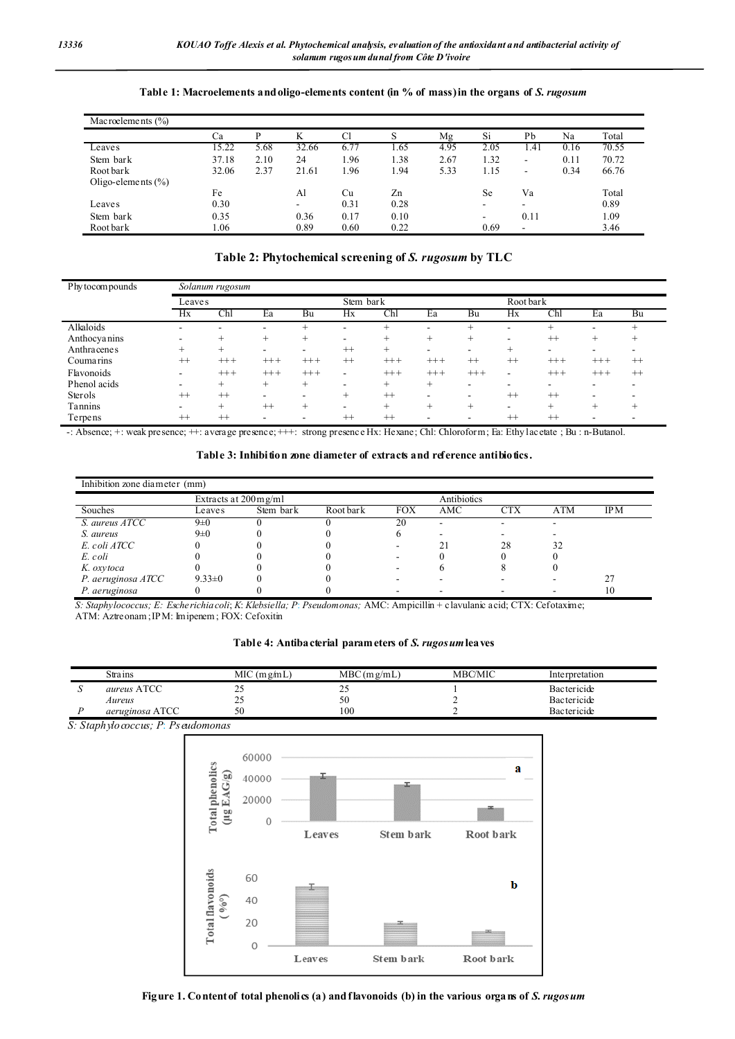| Mac roelements $(\% )$ |       |      |       |      |      |      |                          |      |      |       |
|------------------------|-------|------|-------|------|------|------|--------------------------|------|------|-------|
|                        | Ca    |      | K     | Cl   | S    | Mg   | Si                       | Pb   | Na   | Total |
| Le ave s               | 15.22 | 5.68 | 32.66 | 6.77 | 1.65 | 4.95 | 2.05                     | .41  | 0.16 | 70.55 |
| Stem bark              | 37.18 | 2.10 | 24    | 1.96 | 1.38 | 2.67 | 1.32                     | -    | 0.11 | 70.72 |
| Root bark              | 32.06 | 2.37 | 21.61 | l.96 | 1.94 | 5.33 | 1.15                     | ۰    | 0.34 | 66.76 |
| Oligo-elements $(\% )$ |       |      |       |      |      |      |                          |      |      |       |
|                        | Fe    |      | Al    | Сu   | Zn   |      | Se                       | Va   |      | Total |
| Le ave s               | 0.30  |      | -     | 0.31 | 0.28 |      | $\overline{\phantom{a}}$ | -    |      | 0.89  |
| Stem bark              | 0.35  |      | 0.36  | 0.17 | 0.10 |      | -                        | 0.11 |      | 1.09  |
| Root bark              | 1.06  |      | 0.89  | 0.60 | 0.22 |      | 0.69                     | ۰    |      | 3.46  |

## **Table 1: Macroelements and oligo-elements content (in % of mass) in the organs of** *S. rugosum*

### **Table 2: Phytochemical screening of** *S. rugosum* **by TLC**

| Phy to compounds |         | Solanum rugosum |        |        |           |          |        |         |         |                                  |        |         |  |
|------------------|---------|-----------------|--------|--------|-----------|----------|--------|---------|---------|----------------------------------|--------|---------|--|
|                  | Leaves  |                 |        |        | Stem bark |          |        |         |         | Root bark                        |        |         |  |
|                  | Hx      | Chl             | Ea     | Bu     | Hx        | Ch       | Ea     | Bu      | Hx      | $\mathop{\mathrm{Chl}}\nolimits$ | Ea     | Bu      |  |
| Alkaloids        | ۰       |                 |        |        |           | $^+$     |        | $^+$    |         | $^+$                             |        |         |  |
| Anthocyanins     | ۰       |                 |        | $^+$   |           | $^+$     | $^+$   | $^{+}$  | ۰       | $^{++}$                          | $^{+}$ |         |  |
| Anthracenes      | $^{+}$  | $^{+}$          |        |        | $++$      | $^{+}$   |        |         | $^+$    |                                  |        |         |  |
| Coumarins        | $++$    | $++ +$          | $+++$  | $+++$  | $++$      | $+++$    | $+++$  | $^{++}$ | $^{++}$ | $+++$                            | $+++$  | $^{++}$ |  |
| Flavonoids       | ۰.      | $++ +$          | $++ +$ | $+++$  | -         | $^{+++}$ | $+++$  | $++ +$  | ۰       | $+++$                            | $++ +$ | $^{++}$ |  |
| Phenol acids     | ۰       | $^{+}$          | $^{+}$ | $^+$   |           | $^{+}$   | $^{+}$ | -       |         |                                  |        |         |  |
| Sterols          | $++$    | $^{++}$         |        |        | $^{+}$    | $++$     |        | -       | $^{++}$ | $^{++}$                          |        |         |  |
| Tannins          |         | $^+$            | $++$   | $^{+}$ |           | $^{+}$   | $^{+}$ | $^{+}$  | ۰       | $^+$                             | $^+$   |         |  |
| Terpens          | $^{++}$ | $^{++}$         |        |        | $++$      | $^{++}$  |        |         | $^{++}$ | $^{++}$                          |        |         |  |

-: Absence; +: weak presence; ++: average presence; +++: strong presence Hx: Hexane; Chl: Chloroform; Ea: Ethy l acetate ; Bu : n-Butanol.

**Table 3: Inhibition zone diameter of extracts and reference antibiotics.**

| Inhibition zone diameter (mm) |              |           |           |            |     |            |            |      |  |
|-------------------------------|--------------|-----------|-----------|------------|-----|------------|------------|------|--|
|                               | Antibiotics  |           |           |            |     |            |            |      |  |
| Souches                       | Leaves       | Stem bark | Root bark | <b>FOX</b> | AMC | <b>CTX</b> | <b>ATM</b> | IP M |  |
| S. aureus ATCC                | $9\pm0$      |           |           | 20         |     | -          |            |      |  |
| S. aureus                     | $9\pm0$      |           |           |            |     |            |            |      |  |
| E. coli ATCC                  |              |           |           |            |     | 28         | 32         |      |  |
| E. coli                       |              |           |           |            |     |            |            |      |  |
| K. oxytoca                    |              |           |           |            |     |            |            |      |  |
| P. aeruginosa ATCC            | $9.33 \pm 0$ |           |           |            |     |            |            |      |  |
| P. aeruginosa                 |              |           |           |            |     |            |            |      |  |

*S: Staphylococcus; E: Escherichia coli*; *K*: *Klebsiella; P*: *Pseudomonas;* AMC: Ampicillin + clavulanic acid; CTX: Cefotaxime; ATM: Aztreonam ; IPM: Imipenem ; FOX: Cefoxitin

**Table 4: Antibacterial parameters of** *S. rugosum***leaves**

| Stra ins           | $MIC$ (m $g/mL$ ) | $MBC(m\varrho/mL)$ | <b>MBC/MIC</b> | Interpretation     |
|--------------------|-------------------|--------------------|----------------|--------------------|
| <i>aureus</i> ATCC | <b>__</b>         | <u>_</u>           |                | Bactericide        |
| Aureus             | <u>_</u>          | 50                 |                | <b>Bactericide</b> |
| aeruginosa ATCC    | 50                | 100                |                | Bactericide        |

 *S: Staphylococcus; P*: *Pseudomonas*

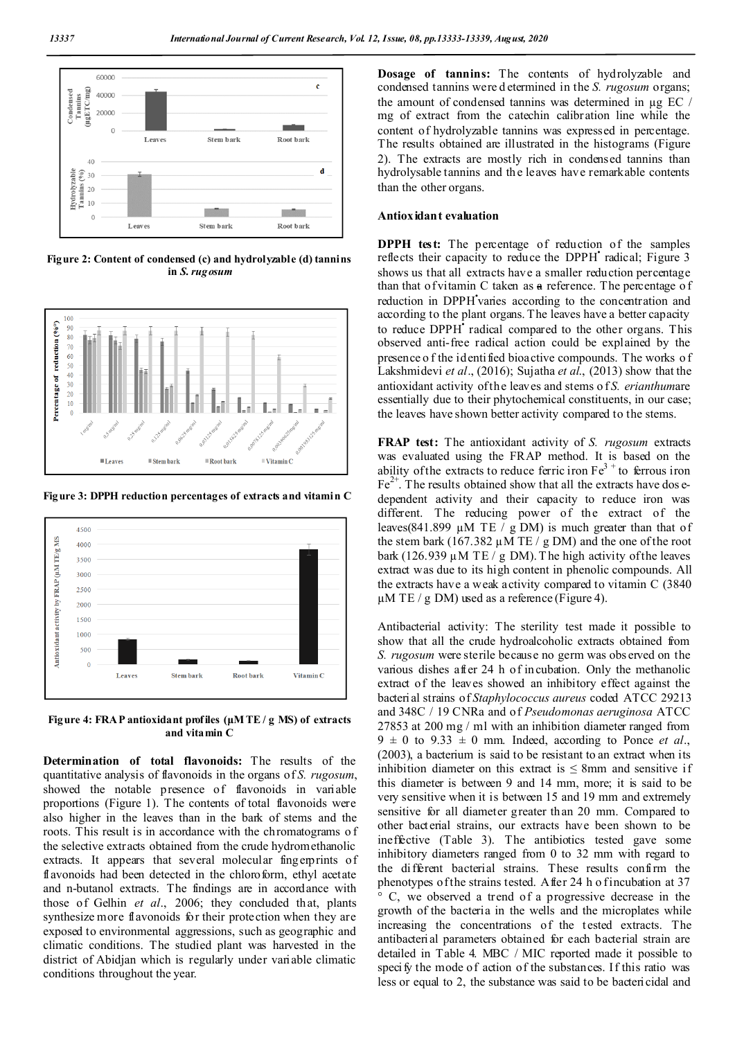

**Figure 2: Content of condensed (c) and hydrolyzable (d) tannins in** *S. rugosum*



**Figure 3: DPPH reduction percentages of extracts and vitamin C**



**Figure 4: FRAP antioxidant profiles (μM TE / g MS) of extracts and vitamin C**

**Determination of total flavonoids:** The results of the quantitative analysis of flavonoids in the organs of *S. rugosum*, showed the notable presence of flavonoids in variable proportions (Figure 1). The contents of total flavonoids were also higher in the leaves than in the bark of stems and the roots. This result is in accordance with the chromatograms o f the selective extracts obtained from the crude hydromethanolic extracts. It appears that several molecular fingerprints of flavonoids had been detected in the chloroform, ethyl acetate and n-butanol extracts. The findings are in accordance with those of Gelhin *et al*., 2006; they concluded that, plants synthesize more flavonoids for their protection when they are exposed to environmental aggressions, such as geographic and climatic conditions. The studied plant was harvested in the district of Abidjan which is regularly under variable climatic conditions throughout the year.

**Dosage of tannins:** The contents of hydrolyzable and condensed tannins were d etermined in the *S. rugosum* organs; the amount of condensed tannins was determined in µg EC / mg of extract from the catechin calibration line while the content of hydrolyzable tannins was expressed in percentage. The results obtained are illustrated in the histograms (Figure 2). The extracts are mostly rich in condensed tannins than hydrolysable tannins and the leaves have remarkable contents than the other organs.

#### **Antioxidant evaluation**

**DPPH test:** The percentage of reduction of the samples reflects their capacity to reduce the DPPH<sup> $\cdot$ </sup> radical; Figure 3 shows us that all extracts have a smaller reduction percentage than that of vitamin C taken as a reference. The percentage o f reduction in DPPH varies according to the concentration and according to the plant organs. The leaves have a better capacity to reduce DPPH<sup> $\cdot$ </sup> radical compared to the other organs. This observed anti-free radical action could be explained by the presence o f the identified bioactive compounds. The works o f Lakshmidevi *et al*., (2016); Sujatha *et al*., (2013) show that the antioxidant activity of the leaves and stems o f *S. erianthum*are essentially due to their phytochemical constituents, in our case; the leaves have shown better activity compared to the stems.

**FRAP test:** The antioxidant activity of *S. rugosum* extracts was evaluated using the FRAP method. It is based on the ability of the extracts to reduce ferric iron  $Fe<sup>3+</sup>$  to ferrous iron  $Fe<sup>2+</sup>$ . The results obtained show that all the extracts have dosedependent activity and their capacity to reduce iron was different. The reducing power of the extract of the leaves(841.899  $\mu$ M TE / g DM) is much greater than that of the stem bark (167.382  $\mu$ M TE / g DM) and the one of the root bark (126.939  $\mu$ M TE / g DM). The high activity of the leaves extract was due to its high content in phenolic compounds. All the extracts have a weak activity compared to vitamin C (3840  $\mu$ M TE / g DM) used as a reference (Figure 4).

Antibacterial activity: The sterility test made it possible to show that all the crude hydroalcoholic extracts obtained from *S. rugosum* were sterile because no germ was obs erved on the various dishes after 24 h of incubation. Only the methanolic extract of the leaves showed an inhibitory effect against the bacterial strains of *Staphylococcus aureus* coded ATCC 29213 and 348C / 19 CNRa and of *Pseudomonas aeruginosa* ATCC 27853 at 200 mg / ml with an inhibition diameter ranged from  $9 \pm 0$  to  $9.33 \pm 0$  mm. Indeed, according to Ponce *et al.*, (2003), a bacterium is said to be resistant to an extract when its inhibition diameter on this extract is  $\leq 8$ mm and sensitive if this diameter is between 9 and 14 mm, more; it is said to be very sensitive when it is between 15 and 19 mm and extremely sensitive for all diameter greater than 20 mm. Compared to other bacterial strains, our extracts have been shown to be ineffective (Table 3). The antibiotics tested gave some inhibitory diameters ranged from 0 to 32 mm with regard to the different bacterial strains. These results confirm the phenotypes of the strains tested. After 24 h of incubation at 37 C, we observed a trend of a progressive decrease in the growth of the bacteria in the wells and the microplates while increasing the concentrations of the tested extracts. The antibacterial parameters obtained for each bacterial strain are detailed in Table 4. MBC / MIC reported made it possible to specify the mode of action of the substances. If this ratio was less or equal to 2, the substance was said to be bactericidal and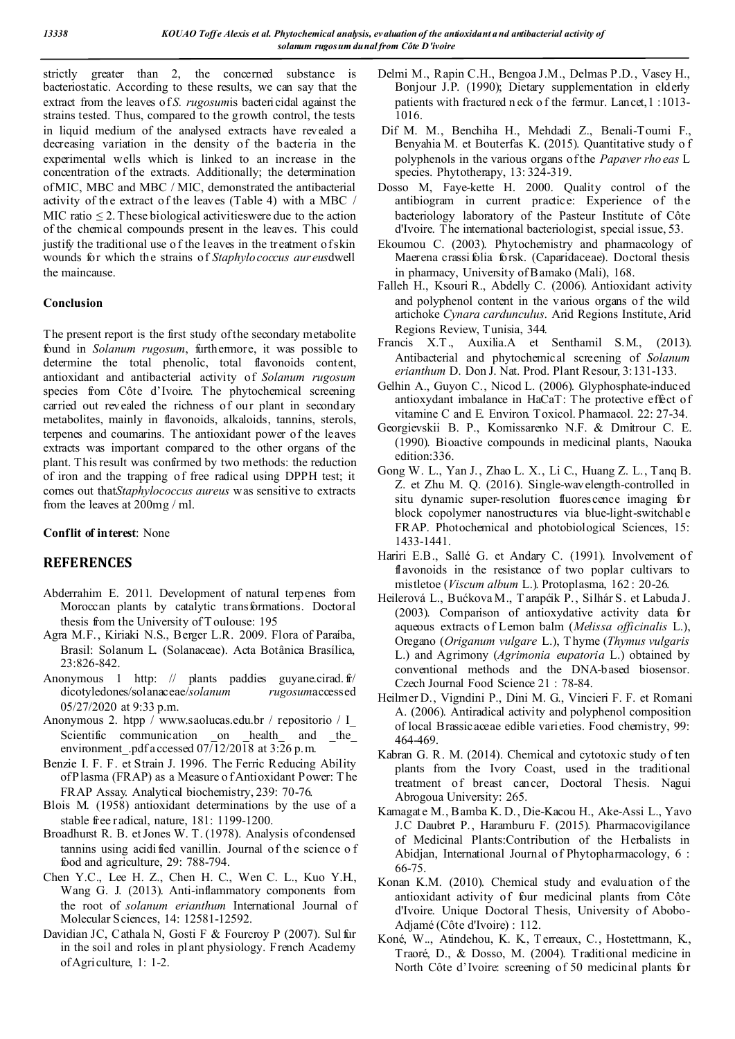strictly greater than 2, the concerned substance is bacteriostatic. According to these results, we can say that the extract from the leaves of *S. rugosum*is bactericidal against the strains tested. Thus, compared to the growth control, the tests in liquid medium of the analysed extracts have revealed a decreasing variation in the density of the bacteria in the experimental wells which is linked to an increase in the concentration of the extracts. Additionally; the determination of MIC, MBC and MBC / MIC, demonstrated the antibacterial activity of the extract of the leaves (Table 4) with a MBC / MIC ratio  $\leq$  2. These biological activities were due to the action of the chemical compounds present in the leaves. This could justify the traditional use of the leaves in the treatment of skin wounds for which the strains of *Staphylococcus aureus*dwell the maincause.

## **Conclusion**

The present report is the first study of the secondary metabolite found in *Solanum rugosum*, furthermore, it was possible to determine the total phenolic, total flavonoids content, antioxidant and antibacterial activity of *Solanum rugosum* species from Côte d'Ivoire. The phytochemical screening carried out revealed the richness of our plant in secondary metabolites, mainly in flavonoids, alkaloids, tannins, sterols, terpenes and coumarins. The antioxidant power of the leaves extracts was important compared to the other organs of the plant. This result was confirmed by two methods: the reduction of iron and the trapping of free radical using DPPH test; it comes out that*Staphylococcus aureus* was sensitive to extracts from the leaves at 200mg / ml.

## **Conflit of interest**: None

## **REFERENCES**

- Abderrahim E. 2011. Development of natural terpenes from Moroccan plants by catalytic transformations. Doctoral thesis from the University of T oulouse: 195
- Agra M.F., Kiriaki N.S., Berger L.R. 2009. Flora of Paraíba, Brasil: Solanum L. (Solanaceae). Acta Botânica Brasílica, 23:826-842.
- Anonymous 1 http: // plants paddies guyane.cirad. fr/ dicotyledones/solanaceae/*solanum rugosum*accessed 05/27/2020 at 9:33 p.m.
- Anonymous 2. htpp / www.saolucas.edu.br / repositorio / I\_ Scientific communication on health and the environment .pdf accessed  $07/12/2018$  at  $3:\overline{26}$  p.m.
- Benzie I. F. F. et Strain J. 1996. The Ferric Reducing Ability of Plasma (FRAP) as a Measure o f Antioxidant Power: T he FRAP Assay. Analytical biochemistry, 239: 70-76.
- Blois M. (1958) antioxidant determinations by the use of a stable free radical, nature, 181: 1199-1200.
- Broadhurst R. B. et Jones W. T. (1978). Analysis of condensed tannins using acidi fied vanillin. Journal of the science o f food and agriculture, 29: 788-794.
- Chen Y.C., Lee H. Z., Chen H. C., Wen C. L., Kuo Y.H., Wang G. J. (2013). Anti-inflammatory components from the root of *solanum erianthum* International Journal of Molecular Sciences, 14: 12581-12592.
- Davidian JC, Cathala N, Gosti F & Fourcroy P (2007). Sul fur in the soil and roles in plant physiology. French Academy of Agriculture, 1: 1-2.
- Delmi M., Rapin C.H., Bengoa J.M., Delmas P.D., Vasey H., Bonjour J.P. (1990); Dietary supplementation in elderly patients with fractured n eck o f the fermur. Lancet,1 :1013- 1016.
- Dif M. M., Benchiha H., Mehdadi Z., Benali-Toumi F., Benyahia M. et Bouterfas K. (2015). Quantitative study o f polyphenols in the various organs of the *Papaver rho eas* L species. Phytotherapy, 13: 324-319.
- Dosso M, Faye-kette H. 2000. Quality control of the antibiogram in current practice: Experience of the bacteriology laboratory of the Pasteur Institute of Côte d'Ivoire. The international bacteriologist, special issue, 53.
- Ekoumou C. (2003). Phytochemistry and pharmacology of Maerena crassi folia forsk. (Caparidaceae). Doctoral thesis in pharmacy, University of Bamako (Mali), 168.
- Falleh H., Ksouri R., Abdelly C. (2006). Antioxidant activity and polyphenol content in the various organs of the wild artichoke *Cynara cardunculus*. Arid Regions Institute, Arid Regions Review, Tunisia, 344.
- Francis X.T., Auxilia.A et Senthamil S.M., (2013). Antibacterial and phytochemical screening of *Solanum erianthum* D. Don J. Nat. Prod. Plant Resour, 3:131-133.
- Gelhin A., Guyon C., Nicod L. (2006). Glyphosphate-induced antioxydant imbalance in HaCaT: The protective effect of vitamine C and E. Environ. Toxicol. Pharmacol. 22: 27-34.
- Georgievskii B. P., Komissarenko N.F. & Dmitrour C. E. (1990). Bioactive compounds in medicinal plants, Naouka edition:336.
- Gong W. L., Yan J., Zhao L. X., Li C., Huang Z. L., Tanq B. Z. et Zhu M. Q. (2016). Single-wavelength-controlled in situ dynamic super-resolution fluorescence imaging for block copolymer nanostructures via blue-light-switchable FRAP. Photochemical and photobiological Sciences, 15: 1433-1441.
- Hariri E.B., Sallé G. et Andary C. (1991). Involvement of flavonoids in the resistance of two poplar cultivars to mistletoe (*Viscum album* L.). Protoplasma, 162 : 20-26.
- Heilerová L., Bućkova M., T arapćik P., Silhár S. et Labuda J. (2003). Comparison of antioxydative activity data for aqueous extracts of Lemon balm (*Melissa officinalis* L.), Oregano (*Origanum vulgare* L.), T hyme (*Thymus vulgaris* L.) and Agrimony (*Agrimonia eupatoria* L.) obtained by conventional methods and the DNA-based biosensor. Czech Journal Food Science 21 : 78-84.
- Heilmer D., Vigndini P., Dini M. G., Vincieri F. F. et Romani A. (2006). Antiradical activity and polyphenol composition of local Brassicaceae edible varieties. Food chemistry, 99: 464-469.
- Kabran G. R. M. (2014). Chemical and cytotoxic study of ten plants from the Ivory Coast, used in the traditional treatment of breast cancer, Doctoral Thesis. Nagui Abrogoua University: 265.
- Kamagate M., Bamba K. D., Die-Kacou H., Ake-Assi L., Yavo J.C Daubret P., Haramburu F. (2015). Pharmacovigilance of Medicinal Plants:Contribution of the Herbalists in Abidjan, International Journal of Phytopharmacology, 6 : 66-75.
- Konan K.M. (2010). Chemical study and evaluation of the antioxidant activity of four medicinal plants from Côte d'Ivoire. Unique Doctoral Thesis, University of Abobo-Adjamé (Côte d'Ivoire) : 112.
- Koné, W.., Atindehou, K. K., T erreaux, C., Hostettmann, K., Traoré, D., & Dosso, M. (2004). Traditional medicine in North Côte d'Ivoire: screening of 50 medicinal plants for